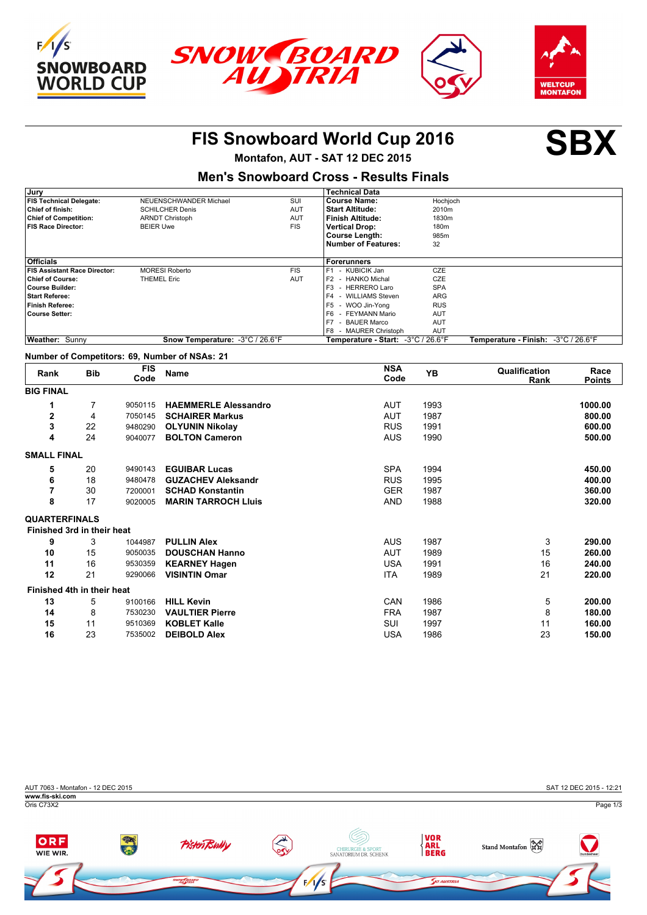





### **FIS Snowboard World Cup 2016 SBX**

**Montafon, AUT - SAT 12 DEC 2015**

### **Men's Snowboard Cross - Results Finals**

| Jury                                |                                 |            | <b>Technical Data</b>              |                  |                                     |
|-------------------------------------|---------------------------------|------------|------------------------------------|------------------|-------------------------------------|
| <b>FIS Technical Delegate:</b>      | NEUENSCHWANDER Michael          | SUI        | <b>Course Name:</b>                | Hochjoch         |                                     |
| Chief of finish:                    | <b>SCHILCHER Denis</b>          | <b>AUT</b> | <b>Start Altitude:</b>             | 2010m            |                                     |
| <b>Chief of Competition:</b>        | <b>ARNDT Christoph</b>          | <b>AUT</b> | l Finish Altitude:                 | 1830m            |                                     |
| <b>FIS Race Director:</b>           | <b>BEIER Uwe</b>                | <b>FIS</b> | <b>Vertical Drop:</b>              | 180 <sub>m</sub> |                                     |
|                                     |                                 |            | Course Length:                     | 985m             |                                     |
|                                     |                                 |            | Number of Features:                | 32               |                                     |
|                                     |                                 |            |                                    |                  |                                     |
| <b>Officials</b>                    |                                 |            | l Forerunners                      |                  |                                     |
| <b>FIS Assistant Race Director:</b> | <b>MORESI Roberto</b>           | <b>FIS</b> | - KUBICIK Jan<br>F <sub>1</sub>    | <b>CZE</b>       |                                     |
| <b>Chief of Course:</b>             | <b>THEMEL Eric</b>              | <b>AUT</b> | F2 - HANKO Michal                  | <b>CZE</b>       |                                     |
| <b>Course Builder:</b>              |                                 |            | F <sub>3</sub><br>- HERRERO Laro   | <b>SPA</b>       |                                     |
| <b>Start Referee:</b>               |                                 |            | F4 - WILLIAMS Steven               | ARG              |                                     |
| <b>Finish Referee:</b>              |                                 |            | F <sub>5</sub><br>- WOO Jin-Yona   | <b>RUS</b>       |                                     |
| <b>Course Setter:</b>               |                                 |            | F6<br>- FEYMANN Mario              | <b>AUT</b>       |                                     |
|                                     |                                 |            | F7<br>- BAUER Marco                | AUT              |                                     |
|                                     |                                 |            | F8 - MAURER Christoph              | AUT              |                                     |
| Weather: Sunny                      | Snow Temperature: -3°C / 26.6°F |            | Temperature - Start: -3°C / 26.6°F |                  | Temperature - Finish: -3°C / 26.6°F |

#### **Number of Competitors: 69, Number of NSAs: 21**

| Rank                 | <b>Bib</b>                 | <b>FIS</b><br>Code | <b>Name</b>                 | <b>NSA</b><br>Code | <b>YB</b> | Qualification<br>Rank | Race<br><b>Points</b> |
|----------------------|----------------------------|--------------------|-----------------------------|--------------------|-----------|-----------------------|-----------------------|
| <b>BIG FINAL</b>     |                            |                    |                             |                    |           |                       |                       |
| 1                    | 7                          | 9050115            | <b>HAEMMERLE Alessandro</b> | <b>AUT</b>         | 1993      |                       | 1000.00               |
| 2                    | 4                          | 7050145            | <b>SCHAIRER Markus</b>      | <b>AUT</b>         | 1987      |                       | 800.00                |
| 3                    | 22                         | 9480290            | <b>OLYUNIN Nikolay</b>      | <b>RUS</b>         | 1991      |                       | 600.00                |
| 4                    | 24                         | 9040077            | <b>BOLTON Cameron</b>       | <b>AUS</b>         | 1990      |                       | 500.00                |
| <b>SMALL FINAL</b>   |                            |                    |                             |                    |           |                       |                       |
| 5                    | 20                         | 9490143            | <b>EGUIBAR Lucas</b>        | <b>SPA</b>         | 1994      |                       | 450.00                |
| 6                    | 18                         | 9480478            | <b>GUZACHEV Aleksandr</b>   | <b>RUS</b>         | 1995      |                       | 400.00                |
| 7                    | 30                         | 7200001            | <b>SCHAD Konstantin</b>     | <b>GER</b>         | 1987      |                       | 360.00                |
| 8                    | 17                         | 9020005            | <b>MARIN TARROCH LIUIS</b>  | <b>AND</b>         | 1988      |                       | 320.00                |
| <b>QUARTERFINALS</b> |                            |                    |                             |                    |           |                       |                       |
|                      | Finished 3rd in their heat |                    |                             |                    |           |                       |                       |
| 9                    | 3                          | 1044987            | <b>PULLIN Alex</b>          | <b>AUS</b>         | 1987      | 3                     | 290.00                |
| 10                   | 15                         | 9050035            | <b>DOUSCHAN Hanno</b>       | <b>AUT</b>         | 1989      | 15                    | 260.00                |
| 11                   | 16                         | 9530359            | <b>KEARNEY Hagen</b>        | <b>USA</b>         | 1991      | 16                    | 240.00                |
| 12                   | 21                         | 9290066            | <b>VISINTIN Omar</b>        | <b>ITA</b>         | 1989      | 21                    | 220.00                |
|                      | Finished 4th in their heat |                    |                             |                    |           |                       |                       |
| 13                   | 5                          | 9100166            | <b>HILL Kevin</b>           | CAN                | 1986      | 5                     | 200.00                |
| 14                   | 8                          | 7530230            | <b>VAULTIER Pierre</b>      | <b>FRA</b>         | 1987      | 8                     | 180.00                |
| 15                   | 11                         | 9510369            | <b>KOBLET Kalle</b>         | <b>SUI</b>         | 1997      | 11                    | 160.00                |
| 16                   | 23                         | 7535002            | <b>DEIBOLD Alex</b>         | <b>USA</b>         | 1986      | 23                    | 150.00                |

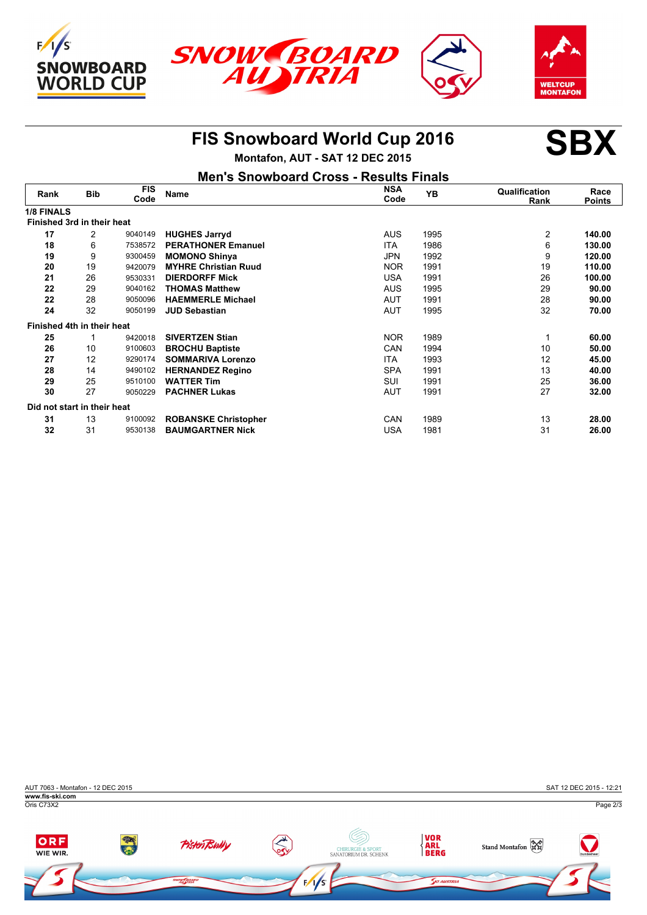





## **FIS Snowboard World Cup 2016 SBX**



**Montafon, AUT - SAT 12 DEC 2015**

| <b>Men's Snowboard Cross - Results Finals</b> |
|-----------------------------------------------|
|                                               |

| Rank                        | <b>Bib</b> | <b>FIS</b><br>Code | <b>Name</b>                 | <b>NSA</b><br>Code | YB   | Qualification<br>Rank | Race<br><b>Points</b> |
|-----------------------------|------------|--------------------|-----------------------------|--------------------|------|-----------------------|-----------------------|
| <b>1/8 FINALS</b>           |            |                    |                             |                    |      |                       |                       |
| Finished 3rd in their heat  |            |                    |                             |                    |      |                       |                       |
| 17                          | 2          | 9040149            | <b>HUGHES Jarryd</b>        | <b>AUS</b>         | 1995 | 2                     | 140.00                |
| 18                          | 6          | 7538572            | <b>PERATHONER Emanuel</b>   | <b>ITA</b>         | 1986 | 6                     | 130.00                |
| 19                          | 9          | 9300459            | <b>MOMONO Shinya</b>        | <b>JPN</b>         | 1992 | 9                     | 120.00                |
| 20                          | 19         | 9420079            | <b>MYHRE Christian Ruud</b> | <b>NOR</b>         | 1991 | 19                    | 110.00                |
| 21                          | 26         | 9530331            | <b>DIERDORFF Mick</b>       | <b>USA</b>         | 1991 | 26                    | 100.00                |
| 22                          | 29         | 9040162            | <b>THOMAS Matthew</b>       | <b>AUS</b>         | 1995 | 29                    | 90.00                 |
| 22                          | 28         | 9050096            | <b>HAEMMERLE Michael</b>    | <b>AUT</b>         | 1991 | 28                    | 90.00                 |
| 24                          | 32         | 9050199            | <b>JUD Sebastian</b>        | AUT                | 1995 | 32                    | 70.00                 |
| Finished 4th in their heat  |            |                    |                             |                    |      |                       |                       |
| 25                          |            | 9420018            | <b>SIVERTZEN Stian</b>      | NOR.               | 1989 |                       | 60.00                 |
| 26                          | 10         | 9100603            | <b>BROCHU Baptiste</b>      | CAN                | 1994 | 10                    | 50.00                 |
| 27                          | 12         | 9290174            | <b>SOMMARIVA Lorenzo</b>    | <b>ITA</b>         | 1993 | 12                    | 45.00                 |
| 28                          | 14         | 9490102            | <b>HERNANDEZ Regino</b>     | <b>SPA</b>         | 1991 | 13                    | 40.00                 |
| 29                          | 25         | 9510100            | <b>WATTER Tim</b>           | <b>SUI</b>         | 1991 | 25                    | 36.00                 |
| 30                          | 27         | 9050229            | <b>PACHNER Lukas</b>        | <b>AUT</b>         | 1991 | 27                    | 32.00                 |
| Did not start in their heat |            |                    |                             |                    |      |                       |                       |
| 31                          | 13         | 9100092            | <b>ROBANSKE Christopher</b> | CAN                | 1989 | 13                    | 28.00                 |
| 32                          | 31         | 9530138            | <b>BAUMGARTNER Nick</b>     | <b>USA</b>         | 1981 | 31                    | 26.00                 |